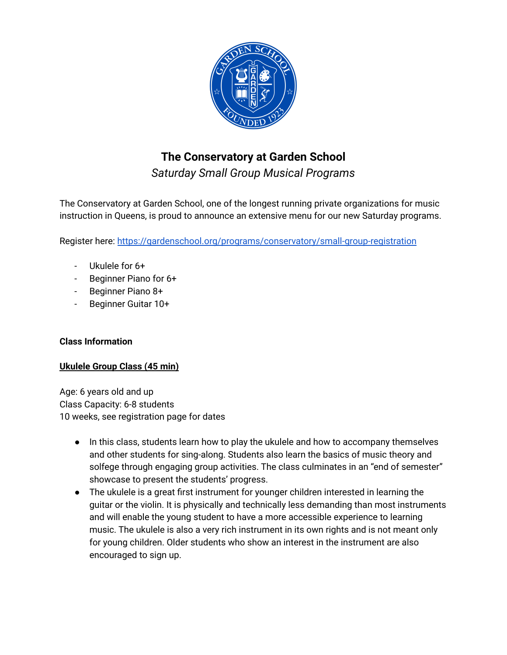

# **The Conservatory at Garden School**

*Saturday Small Group Musical Programs*

The Conservatory at Garden School, one of the longest running private organizations for music instruction in Queens, is proud to announce an extensive menu for our new Saturday programs.

Register here: <https://gardenschool.org/programs/conservatory/small-group-registration>

- Ukulele for 6+
- Beginner Piano for 6+
- Beginner Piano 8+
- Beginner Guitar 10+

# **Class Information**

# **Ukulele Group Class (45 min)**

Age: 6 years old and up Class Capacity: 6-8 students 10 weeks, see registration page for dates

- In this class, students learn how to play the ukulele and how to accompany themselves and other students for sing-along. Students also learn the basics of music theory and solfege through engaging group activities. The class culminates in an "end of semester" showcase to present the students' progress.
- The ukulele is a great first instrument for younger children interested in learning the guitar or the violin. It is physically and technically less demanding than most instruments and will enable the young student to have a more accessible experience to learning music. The ukulele is also a very rich instrument in its own rights and is not meant only for young children. Older students who show an interest in the instrument are also encouraged to sign up.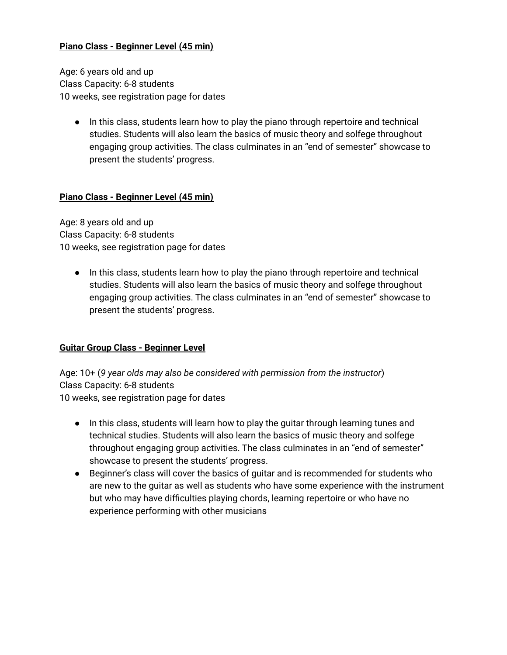## **Piano Class - Beginner Level (45 min)**

Age: 6 years old and up Class Capacity: 6-8 students 10 weeks, see registration page for dates

● In this class, students learn how to play the piano through repertoire and technical studies. Students will also learn the basics of music theory and solfege throughout engaging group activities. The class culminates in an "end of semester" showcase to present the students' progress.

### **Piano Class - Beginner Level (45 min)**

Age: 8 years old and up Class Capacity: 6-8 students 10 weeks, see registration page for dates

● In this class, students learn how to play the piano through repertoire and technical studies. Students will also learn the basics of music theory and solfege throughout engaging group activities. The class culminates in an "end of semester" showcase to present the students' progress.

#### **Guitar Group Class - Beginner Level**

Age: 10+ (*9 year olds may also be considered with permission from the instructor*) Class Capacity: 6-8 students 10 weeks, see registration page for dates

- In this class, students will learn how to play the guitar through learning tunes and technical studies. Students will also learn the basics of music theory and solfege throughout engaging group activities. The class culminates in an "end of semester" showcase to present the students' progress.
- Beginner's class will cover the basics of guitar and is recommended for students who are new to the guitar as well as students who have some experience with the instrument but who may have difficulties playing chords, learning repertoire or who have no experience performing with other musicians